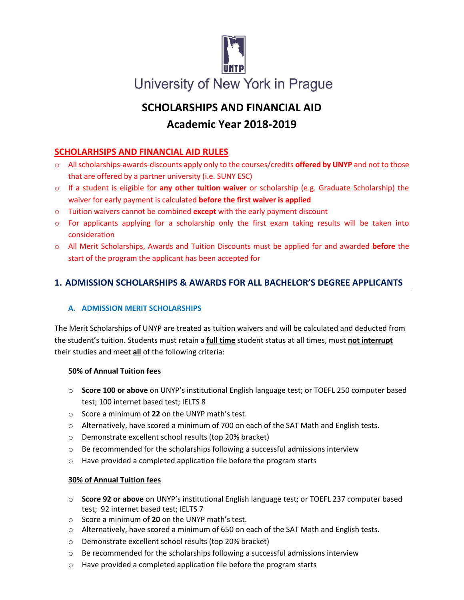

# **SCHOLARSHIPS AND FINANCIAL AID Academic Year 2018-2019**

# **SCHOLARHSIPS AND FINANCIAL AID RULES**

- o All scholarships-awards-discounts apply only to the courses/credits **offered by UNYP** and not to those that are offered by a partner university (i.e. SUNY ESC)
- o If a student is eligible for **any other tuition waiver** or scholarship (e.g. Graduate Scholarship) the waiver for early payment is calculated **before the first waiver is applied**
- o Tuition waivers cannot be combined **except** with the early payment discount
- o For applicants applying for a scholarship only the first exam taking results will be taken into consideration
- o All Merit Scholarships, Awards and Tuition Discounts must be applied for and awarded **before** the start of the program the applicant has been accepted for

# **1. ADMISSION SCHOLARSHIPS & AWARDS FOR ALL BACHELOR'S DEGREE APPLICANTS**

# **A. ADMISSION MERIT SCHOLARSHIPS**

The Merit Scholarships of UNYP are treated as tuition waivers and will be calculated and deducted from the student's tuition. Students must retain a **full time** student status at all times, must **not interrupt** their studies and meet **all** of the following criteria:

# **50% of Annual Tuition fees**

- o **Score 100 or above** on UNYP's institutional English language test; or TOEFL 250 computer based test; 100 internet based test; IELTS 8
- o Score a minimum of **22** on the UNYP math's test.
- $\circ$  Alternatively, have scored a minimum of 700 on each of the SAT Math and English tests.
- o Demonstrate excellent school results (top 20% bracket)
- $\circ$  Be recommended for the scholarships following a successful admissions interview
- o Have provided a completed application file before the program starts

# **30% of Annual Tuition fees**

- o **Score 92 or above** on UNYP's institutional English language test; or TOEFL 237 computer based test; 92 internet based test; IELTS 7
- o Score a minimum of **20** on the UNYP math's test.
- $\circ$  Alternatively, have scored a minimum of 650 on each of the SAT Math and English tests.
- o Demonstrate excellent school results (top 20% bracket)
- $\circ$  Be recommended for the scholarships following a successful admissions interview
- o Have provided a completed application file before the program starts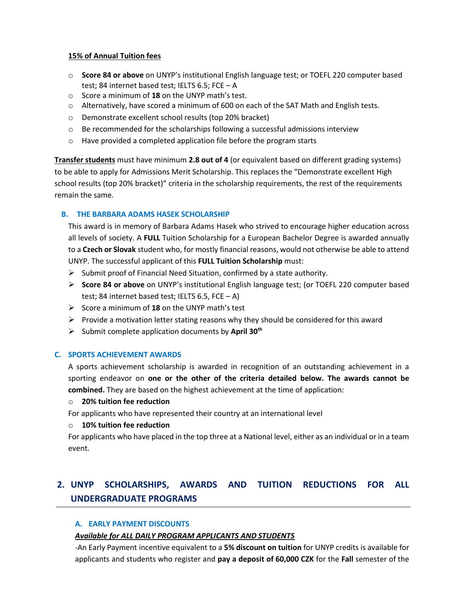#### **15% of Annual Tuition fees**

- o **Score 84 or above** on UNYP's institutional English language test; or TOEFL 220 computer based test; 84 internet based test; IELTS 6.5; FCE – A
- o Score a minimum of **18** on the UNYP math's test.
- $\circ$  Alternatively, have scored a minimum of 600 on each of the SAT Math and English tests.
- o Demonstrate excellent school results (top 20% bracket)
- $\circ$  Be recommended for the scholarships following a successful admissions interview
- o Have provided a completed application file before the program starts

**Transfer students** must have minimum **2.8 out of 4** (or equivalent based on different grading systems) to be able to apply for Admissions Merit Scholarship. This replaces the "Demonstrate excellent High school results (top 20% bracket)" criteria in the scholarship requirements, the rest of the requirements remain the same.

#### **B. THE BARBARA ADAMS HASEK SCHOLARSHIP**

This award is in memory of Barbara Adams Hasek who strived to encourage higher education across all levels of society. A **FULL** Tuition Scholarship for a European Bachelor Degree is awarded annually to a **Czech or Slovak** student who, for mostly financial reasons, would not otherwise be able to attend UNYP. The successful applicant of this **FULL Tuition Scholarship** must:

- $\triangleright$  Submit proof of Financial Need Situation, confirmed by a state authority.
- **Score 84 or above** on UNYP's institutional English language test; (or TOEFL 220 computer based test; 84 internet based test; IELTS 6.5, FCE – A)
- $\triangleright$  Score a minimum of **18** on the UNYP math's test
- $\triangleright$  Provide a motivation letter stating reasons why they should be considered for this award
- Submit complete application documents by **April 30th**

#### **C. SPORTS ACHIEVEMENT AWARDS**

A sports achievement scholarship is awarded in recognition of an outstanding achievement in a sporting endeavor on **one or the other of the criteria detailed below. The awards cannot be combined.** They are based on the highest achievement at the time of application:

#### o **20% tuition fee reduction**

For applicants who have represented their country at an international level

#### o **10% tuition fee reduction**

For applicants who have placed in the top three at a National level, either as an individual or in a team event.

# **2. UNYP SCHOLARSHIPS, AWARDS AND TUITION REDUCTIONS FOR ALL UNDERGRADUATE PROGRAMS**

#### **A. EARLY PAYMENT DISCOUNTS**

#### *Available for ALL DAILY PROGRAM APPLICANTS AND STUDENTS*

-An Early Payment incentive equivalent to a **5% discount on tuition** for UNYP credits is available for applicants and students who register and **pay a deposit of 60,000 CZK** for the **Fall** semester of the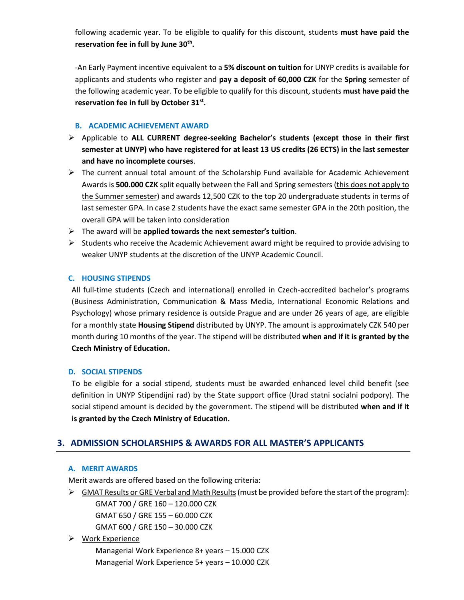following academic year. To be eligible to qualify for this discount, students **must have paid the reservation fee in full by June 30th .**

-An Early Payment incentive equivalent to a **5% discount on tuition** for UNYP credits is available for applicants and students who register and **pay a deposit of 60,000 CZK** for the **Spring** semester of the following academic year. To be eligible to qualify for this discount, students **must have paid the reservation fee in full by October 31st .**

#### **B. ACADEMIC ACHIEVEMENT AWARD**

- Applicable to **ALL CURRENT degree-seeking Bachelor's students (except those in their first semester at UNYP) who have registered for at least 13 US credits (26 ECTS) in the last semester and have no incomplete courses**.
- $\triangleright$  The current annual total amount of the Scholarship Fund available for Academic Achievement Awards is **500.000 CZK** split equally between the Fall and Spring semesters (this does not apply to the Summer semester) and awards 12,500 CZK to the top 20 undergraduate students in terms of last semester GPA. In case 2 students have the exact same semester GPA in the 20th position, the overall GPA will be taken into consideration
- The award will be **applied towards the next semester's tuition**.
- $\triangleright$  Students who receive the Academic Achievement award might be required to provide advising to weaker UNYP students at the discretion of the UNYP Academic Council.

#### **C. HOUSING STIPENDS**

All full-time students (Czech and international) enrolled in Czech-accredited bachelor's programs (Business Administration, Communication & Mass Media, International Economic Relations and Psychology) whose primary residence is outside Prague and are under 26 years of age, are eligible for a monthly state **Housing Stipend** distributed by UNYP. The amount is approximately CZK 540 per month during 10 months of the year. The stipend will be distributed **when and if it is granted by the Czech Ministry of Education.** 

#### **D. SOCIAL STIPENDS**

To be eligible for a social stipend, students must be awarded enhanced level child benefit (see definition in UNYP Stipendijni rad) by the State support office (Urad statni socialni podpory). The social stipend amount is decided by the government. The stipend will be distributed **when and if it is granted by the Czech Ministry of Education.** 

# **3. ADMISSION SCHOLARSHIPS & AWARDS FOR ALL MASTER'S APPLICANTS**

#### **A. MERIT AWARDS**

Merit awards are offered based on the following criteria:

 $\triangleright$  GMAT Results or GRE Verbal and Math Results (must be provided before the start of the program): GMAT 700 / GRE 160 – 120.000 CZK GMAT 650 / GRE 155 – 60.000 CZK GMAT 600 / GRE 150 – 30.000 CZK

# ▶ Work Experience

Managerial Work Experience 8+ years – 15.000 CZK Managerial Work Experience 5+ years – 10.000 CZK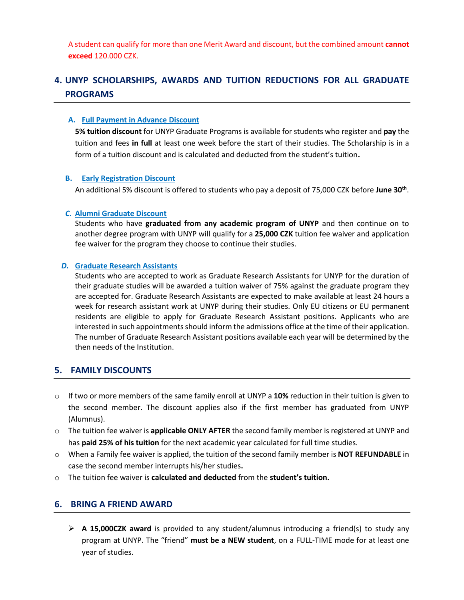A student can qualify for more than one Merit Award and discount, but the combined amount **cannot exceed** 120.000 CZK.

# **4. UNYP SCHOLARSHIPS, AWARDS AND TUITION REDUCTIONS FOR ALL GRADUATE PROGRAMS**

#### **A. Full Payment in Advance Discount**

**5% tuition discount** for UNYP Graduate Programs is available for students who register and **pay** the tuition and fees **in full** at least one week before the start of their studies. The Scholarship is in a form of a tuition discount and is calculated and deducted from the student's tuition**.** 

#### **B. Early Registration Discount**

An additional 5% discount is offered to students who pay a deposit of 75,000 CZK before **June 30th** .

#### *C.* **Alumni Graduate Discount**

Students who have **graduated from any academic program of UNYP** and then continue on to another degree program with UNYP will qualify for a **25,000 CZK** tuition fee waiver and application fee waiver for the program they choose to continue their studies.

#### *D.* **Graduate Research Assistants**

Students who are accepted to work as Graduate Research Assistants for UNYP for the duration of their graduate studies will be awarded a tuition waiver of 75% against the graduate program they are accepted for. Graduate Research Assistants are expected to make available at least 24 hours a week for research assistant work at UNYP during their studies. Only EU citizens or EU permanent residents are eligible to apply for Graduate Research Assistant positions. Applicants who are interested in such appointmentsshould inform the admissions office at the time of their application. The number of Graduate Research Assistant positions available each year will be determined by the then needs of the Institution.

# **5. FAMILY DISCOUNTS**

- o If two or more members of the same family enroll at UNYP a **10%** reduction in their tuition is given to the second member. The discount applies also if the first member has graduated from UNYP (Alumnus).
- o The tuition fee waiver is **applicable ONLY AFTER** the second family member is registered at UNYP and has **paid 25% of his tuition** for the next academic year calculated for full time studies.
- o When a Family fee waiver is applied, the tuition of the second family member is **NOT REFUNDABLE** in case the second member interrupts his/her studies**.**
- o The tuition fee waiver is **calculated and deducted** from the **student's tuition.**

# **6. BRING A FRIEND AWARD**

 **A 15,000CZK award** is provided to any student/alumnus introducing a friend(s) to study any program at UNYP. The "friend" **must be a NEW student**, on a FULL-TIME mode for at least one year of studies.